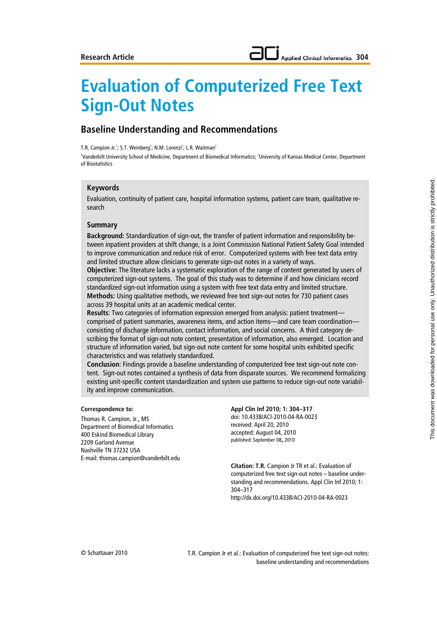# **Evaluation of Computerized Free Text Sign-Out Notes**

## **Baseline Understanding and Recommendations**

T.R. Campion Jr.<sup>1</sup>; S.T. Weinberg<sup>1</sup>; N.M. Lorenzi<sup>1</sup>; L.R. Waitman<sup>2</sup>

'Vanderbilt University School of Medicine, Department of Biomedical Informatics; <sup>2</sup>University of Kansas Medical Center, Department of Biostatistics

#### **Keywords**

Evaluation, continuity of patient care, hospital information systems, patient care team, qualitative research

#### **Summary**

**Background:** Standardization of sign-out, the transfer of patient information and responsibility between inpatient providers at shift change, is a Joint Commission National Patient Safety Goal intended to improve communication and reduce risk of error. Computerized systems with free text data entry and limited structure allow clinicians to generate sign-out notes in a variety of ways.

**Objective:** The literature lacks a systematic exploration of the range of content generated by users of computerized sign-out systems. The goal of this study was to determine if and how clinicians record standardized sign-out information using a system with free text data entry and limited structure. **Methods:** Using qualitative methods, we reviewed free text sign-out notes for 730 patient cases across 39 hospital units at an academic medical center.

**Results**: Two categories of information expression emerged from analysis: patient treatment comprised of patient summaries, awareness items, and action items—and care team coordination consisting of discharge information, contact information, and social concerns. A third category describing the format of sign-out note content, presentation of information, also emerged. Location and structure of information varied, but sign-out note content for some hospital units exhibited specific characteristics and was relatively standardized.

**Conclusion**: Findings provide a baseline understanding of computerized free text sign-out note content. Sign-out notes contained a synthesis of data from disparate sources. We recommend formalizing existing unit-specific content standardization and system use patterns to reduce sign-out note variability and improve communication.

#### **Correspondence to:**

Thomas R. Campion, Jr., MS Department of Biomedical Informatics 400 Eskind Biomedical Library 2209 Garland Avenue Nashville TN 37232 USA E-mail: thomas.campion@vanderbilt.edu

#### **Appl Clin Inf 2010; 1: 304–317** doi: 10.4338/ACI-2010-04-RA-0023 received: April 20, 2010 accepted: August 04, 2010 published: September 08**,** 2010

**Citation: T.R.** Campion Jr TR et al.: Evaluation of computerized free text sign-out notes – baseline understanding and recommendations. Appl Clin Inf 2010; 1: 304–317 http://dx.doi.org/10.4338/ACI-2010-04-RA-0023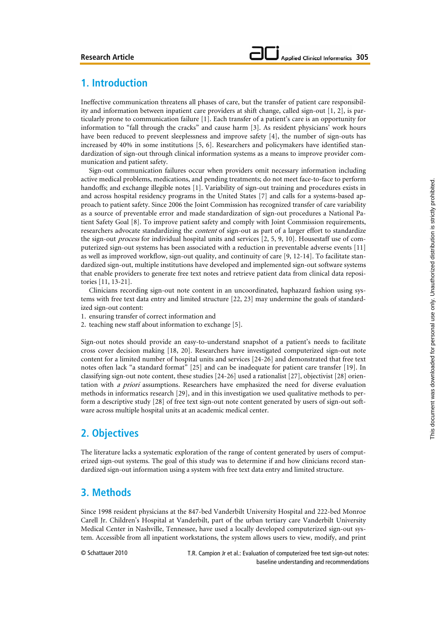## **1. Introduction**

Ineffective communication threatens all phases of care, but the transfer of patient care responsibility and information between inpatient care providers at shift change, called sign-out [1, 2], is particularly prone to communication failure [1]. Each transfer of a patient's care is an opportunity for information to "fall through the cracks" and cause harm [3]. As resident physicians' work hours have been reduced to prevent sleeplessness and improve safety [4], the number of sign-outs has increased by 40% in some institutions [5, 6]. Researchers and policymakers have identified standardization of sign-out through clinical information systems as a means to improve provider communication and patient safety.

Sign-out communication failures occur when providers omit necessary information including active medical problems, medications, and pending treatments; do not meet face-to-face to perform handoffs; and exchange illegible notes [1]. Variability of sign-out training and procedures exists in and across hospital residency programs in the United States [7] and calls for a systems-based approach to patient safety. Since 2006 the Joint Commission has recognized transfer of care variability as a source of preventable error and made standardization of sign-out procedures a National Patient Safety Goal [8]. To improve patient safety and comply with Joint Commission requirements, researchers advocate standardizing the *content* of sign-out as part of a larger effort to standardize the sign-out process for individual hospital units and services [2, 5, 9, 10]. Housestaff use of computerized sign-out systems has been associated with a reduction in preventable adverse events [11] as well as improved workflow, sign-out quality, and continuity of care [9, 12-14]. To facilitate standardized sign-out, multiple institutions have developed and implemented sign-out software systems that enable providers to generate free text notes and retrieve patient data from clinical data repositories [11, 13-21].

Clinicians recording sign-out note content in an uncoordinated, haphazard fashion using systems with free text data entry and limited structure [22, 23] may undermine the goals of standardized sign-out content:

- 1. ensuring transfer of correct information and
- 2. teaching new staff about information to exchange [5].

Sign-out notes should provide an easy-to-understand snapshot of a patient's needs to facilitate cross cover decision making [18, 20]. Researchers have investigated computerized sign-out note content for a limited number of hospital units and services [24-26] and demonstrated that free text notes often lack "a standard format" [25] and can be inadequate for patient care transfer [19]. In classifying sign-out note content, these studies [24-26] used a rationalist [27], objectivist [28] orientation with a priori assumptions. Researchers have emphasized the need for diverse evaluation methods in informatics research [29], and in this investigation we used qualitative methods to perform a descriptive study [28] of free text sign-out note content generated by users of sign-out software across multiple hospital units at an academic medical center.

## **2. Objectives**

The literature lacks a systematic exploration of the range of content generated by users of computerized sign-out systems. The goal of this study was to determine if and how clinicians record standardized sign-out information using a system with free text data entry and limited structure.

## **3. Methods**

Since 1998 resident physicians at the 847-bed Vanderbilt University Hospital and 222-bed Monroe Carell Jr. Children's Hospital at Vanderbilt, part of the urban tertiary care Vanderbilt University Medical Center in Nashville, Tennessee, have used a locally developed computerized sign-out system. Accessible from all inpatient workstations, the system allows users to view, modify, and print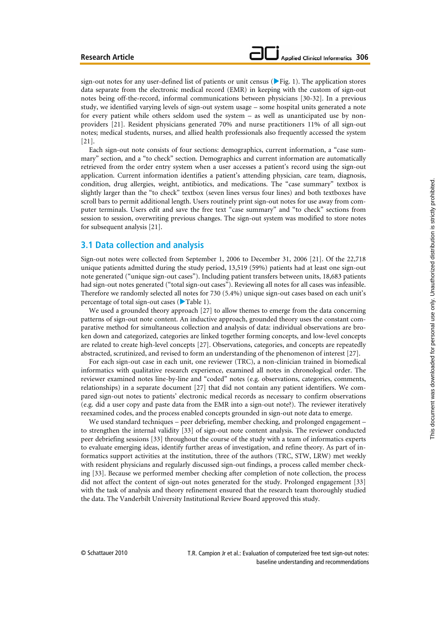#### **Applied Clinical Informatics 306**

sign-out notes for any user-defined list of patients or unit census ( $\blacktriangleright$  Fig. 1). The application stores data separate from the electronic medical record (EMR) in keeping with the custom of sign-out notes being off-the-record, informal communications between physicians [30-32]. In a previous study, we identified varying levels of sign-out system usage – some hospital units generated a note for every patient while others seldom used the system – as well as unanticipated use by nonproviders [21]. Resident physicians generated 70% and nurse practitioners 11% of all sign-out notes; medical students, nurses, and allied health professionals also frequently accessed the system [21].

Each sign-out note consists of four sections: demographics, current information, a "case summary" section, and a "to check" section. Demographics and current information are automatically retrieved from the order entry system when a user accesses a patient's record using the sign-out application. Current information identifies a patient's attending physician, care team, diagnosis, condition, drug allergies, weight, antibiotics, and medications. The "case summary" textbox is slightly larger than the "to check" textbox (seven lines versus four lines) and both textboxes have scroll bars to permit additional length. Users routinely print sign-out notes for use away from computer terminals. Users edit and save the free text "case summary" and "to check" sections from session to session, overwriting previous changes. The sign-out system was modified to store notes for subsequent analysis [21].

#### **3.1 Data collection and analysis**

Sign-out notes were collected from September 1, 2006 to December 31, 2006 [21]. Of the 22,718 unique patients admitted during the study period, 13,519 (59%) patients had at least one sign-out note generated ("unique sign-out cases"). Including patient transfers between units, 18,683 patients had sign-out notes generated ("total sign-out cases"). Reviewing all notes for all cases was infeasible. Therefore we randomly selected all notes for 730 (5.4%) unique sign-out cases based on each unit's percentage of total sign-out cases ( $\blacktriangleright$  Table 1).

We used a grounded theory approach [27] to allow themes to emerge from the data concerning patterns of sign-out note content. An inductive approach, grounded theory uses the constant comparative method for simultaneous collection and analysis of data: individual observations are broken down and categorized, categories are linked together forming concepts, and low-level concepts are related to create high-level concepts [27]. Observations, categories, and concepts are repeatedly abstracted, scrutinized, and revised to form an understanding of the phenomenon of interest [27].

For each sign-out case in each unit, one reviewer (TRC), a non-clinician trained in biomedical informatics with qualitative research experience, examined all notes in chronological order. The reviewer examined notes line-by-line and "coded" notes (e.g. observations, categories, comments, relationships) in a separate document [27] that did not contain any patient identifiers. We compared sign-out notes to patients' electronic medical records as necessary to confirm observations (e.g. did a user copy and paste data from the EMR into a sign-out note?). The reviewer iteratively reexamined codes, and the process enabled concepts grounded in sign-out note data to emerge.

We used standard techniques – peer debriefing, member checking, and prolonged engagement – to strengthen the internal validity [33] of sign-out note content analysis. The reviewer conducted peer debriefing sessions [33] throughout the course of the study with a team of informatics experts to evaluate emerging ideas, identify further areas of investigation, and refine theory. As part of informatics support activities at the institution, three of the authors (TRC, STW, LRW) met weekly with resident physicians and regularly discussed sign-out findings, a process called member checking [33]. Because we performed member checking after completion of note collection, the process did not affect the content of sign-out notes generated for the study. Prolonged engagement [33] with the task of analysis and theory refinement ensured that the research team thoroughly studied the data. The Vanderbilt University Institutional Review Board approved this study.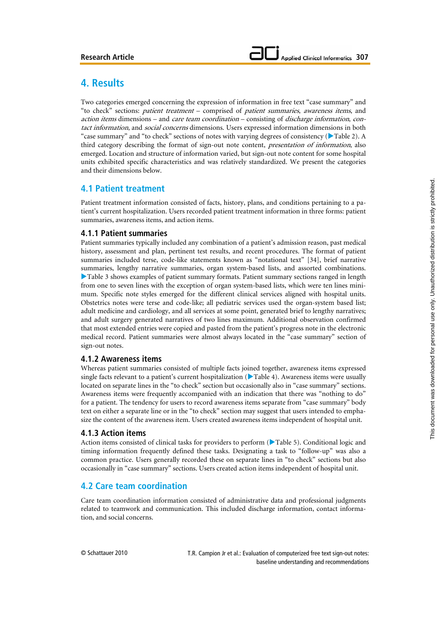## **4. Results**

Two categories emerged concerning the expression of information in free text "case summary" and "to check" sections: patient treatment – comprised of patient summaries, awareness items, and action items dimensions – and care team coordination – consisting of discharge information, contact information, and *social concerns* dimensions. Users expressed information dimensions in both "case summary" and "to check" sections of notes with varying degrees of consistency ( $\blacktriangleright$  Table 2). A third category describing the format of sign-out note content, *presentation of information*, also emerged. Location and structure of information varied, but sign-out note content for some hospital units exhibited specific characteristics and was relatively standardized. We present the categories and their dimensions below.

## **4.1 Patient treatment**

Patient treatment information consisted of facts, history, plans, and conditions pertaining to a patient's current hospitalization. Users recorded patient treatment information in three forms: patient summaries, awareness items, and action items.

#### **4.1.1 Patient summaries**

Patient summaries typically included any combination of a patient's admission reason, past medical history, assessment and plan, pertinent test results, and recent procedures. The format of patient summaries included terse, code-like statements known as "notational text" [34], brief narrative summaries, lengthy narrative summaries, organ system-based lists, and assorted combinations. Table 3 shows examples of patient summary formats. Patient summary sections ranged in length from one to seven lines with the exception of organ system-based lists, which were ten lines minimum. Specific note styles emerged for the different clinical services aligned with hospital units. Obstetrics notes were terse and code-like; all pediatric services used the organ-system based list; adult medicine and cardiology, and all services at some point, generated brief to lengthy narratives; and adult surgery generated narratives of two lines maximum. Additional observation confirmed that most extended entries were copied and pasted from the patient's progress note in the electronic medical record. Patient summaries were almost always located in the "case summary" section of sign-out notes.

#### **4.1.2 Awareness items**

Whereas patient summaries consisted of multiple facts joined together, awareness items expressed single facts relevant to a patient's current hospitalization ( $\blacktriangleright$  Table 4). Awareness items were usually located on separate lines in the "to check" section but occasionally also in "case summary" sections. Awareness items were frequently accompanied with an indication that there was "nothing to do" for a patient. The tendency for users to record awareness items separate from "case summary" body text on either a separate line or in the "to check" section may suggest that users intended to emphasize the content of the awareness item. Users created awareness items independent of hospital unit.

#### **4.1.3 Action items**

Action items consisted of clinical tasks for providers to perform ( $\blacktriangleright$  Table 5). Conditional logic and timing information frequently defined these tasks. Designating a task to "follow-up" was also a common practice. Users generally recorded these on separate lines in "to check" sections but also occasionally in "case summary" sections. Users created action items independent of hospital unit.

## **4.2 Care team coordination**

Care team coordination information consisted of administrative data and professional judgments related to teamwork and communication. This included discharge information, contact information, and social concerns.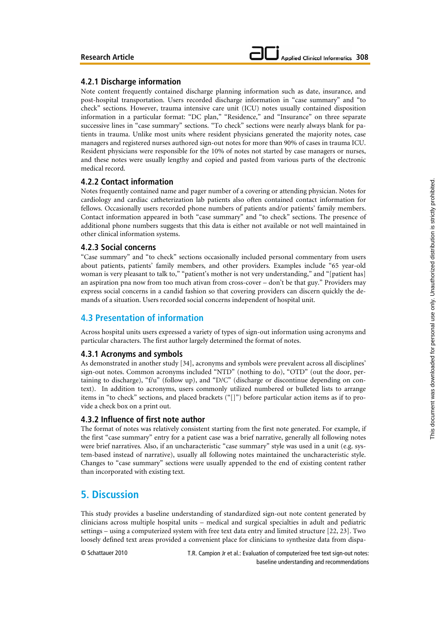#### **4.2.1 Discharge information**

Note content frequently contained discharge planning information such as date, insurance, and post-hospital transportation. Users recorded discharge information in "case summary" and "to check" sections. However, trauma intensive care unit (ICU) notes usually contained disposition information in a particular format: "DC plan," "Residence," and "Insurance" on three separate successive lines in "case summary" sections. "To check" sections were nearly always blank for patients in trauma. Unlike most units where resident physicians generated the majority notes, case managers and registered nurses authored sign-out notes for more than 90% of cases in trauma ICU. Resident physicians were responsible for the 10% of notes not started by case managers or nurses, and these notes were usually lengthy and copied and pasted from various parts of the electronic medical record.

#### **4.2.2 Contact information**

Notes frequently contained name and pager number of a covering or attending physician. Notes for cardiology and cardiac catheterization lab patients also often contained contact information for fellows. Occasionally users recorded phone numbers of patients and/or patients' family members. Contact information appeared in both "case summary" and "to check" sections. The presence of additional phone numbers suggests that this data is either not available or not well maintained in other clinical information systems.

#### **4.2.3 Social concerns**

"Case summary" and "to check" sections occasionally included personal commentary from users about patients, patients' family members, and other providers. Examples include "65 year-old woman is very pleasant to talk to," "patient's mother is not very understanding," and "[patient has] an aspiration pna now from too much ativan from cross-cover – don't be that guy." Providers may express social concerns in a candid fashion so that covering providers can discern quickly the demands of a situation. Users recorded social concerns independent of hospital unit.

## **4.3 Presentation of information**

Across hospital units users expressed a variety of types of sign-out information using acronyms and particular characters. The first author largely determined the format of notes.

#### **4.3.1 Acronyms and symbols**

As demonstrated in another study [34], acronyms and symbols were prevalent across all disciplines' sign-out notes. Common acronyms included "NTD" (nothing to do), "OTD" (out the door, pertaining to discharge), "f/u" (follow up), and "D/C" (discharge or discontinue depending on context). In addition to acronyms, users commonly utilized numbered or bulleted lists to arrange items in "to check" sections, and placed brackets ("[]") before particular action items as if to provide a check box on a print out.

#### **4.3.2 Influence of first note author**

The format of notes was relatively consistent starting from the first note generated. For example, if the first "case summary" entry for a patient case was a brief narrative, generally all following notes were brief narratives. Also, if an uncharacteristic "case summary" style was used in a unit (e.g. system-based instead of narrative), usually all following notes maintained the uncharacteristic style. Changes to "case summary" sections were usually appended to the end of existing content rather than incorporated with existing text.

## **5. Discussion**

This study provides a baseline understanding of standardized sign-out note content generated by clinicians across multiple hospital units – medical and surgical specialties in adult and pediatric settings – using a computerized system with free text data entry and limited structure [22, 23]. Two loosely defined text areas provided a convenient place for clinicians to synthesize data from dispa-

© Schattauer 2010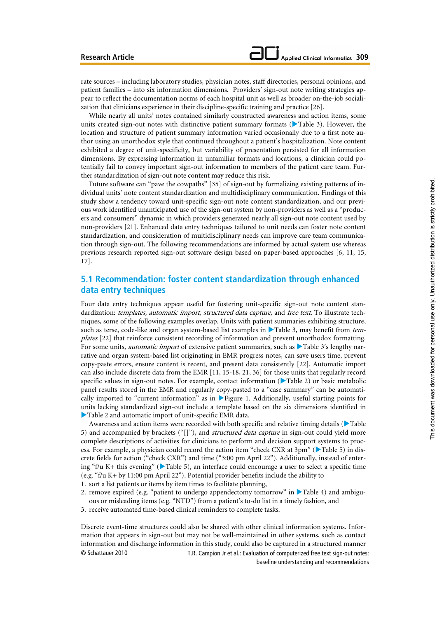rate sources – including laboratory studies, physician notes, staff directories, personal opinions, and patient families – into six information dimensions. Providers' sign-out note writing strategies appear to reflect the documentation norms of each hospital unit as well as broader on-the-job socialization that clinicians experience in their discipline-specific training and practice [26].

While nearly all units' notes contained similarly constructed awareness and action items, some units created sign-out notes with distinctive patient summary formats ( $\blacktriangleright$  Table 3). However, the location and structure of patient summary information varied occasionally due to a first note author using an unorthodox style that continued throughout a patient's hospitalization. Note content exhibited a degree of unit-specificity, but variability of presentation persisted for all information dimensions. By expressing information in unfamiliar formats and locations, a clinician could potentially fail to convey important sign-out information to members of the patient care team. Further standardization of sign-out note content may reduce this risk.

Future software can "pave the cowpaths" [35] of sign-out by formalizing existing patterns of individual units' note content standardization and multidisciplinary communication. Findings of this study show a tendency toward unit-specific sign-out note content standardization, and our previous work identified unanticipated use of the sign-out system by non-providers as well as a "producers and consumers" dynamic in which providers generated nearly all sign-out note content used by non-providers [21]. Enhanced data entry techniques tailored to unit needs can foster note content standardization, and consideration of multidisciplinary needs can improve care team communication through sign-out. The following recommendations are informed by actual system use whereas previous research reported sign-out software design based on paper-based approaches [6, 11, 15, 17].

## **5.1 Recommendation: foster content standardization through enhanced data entry techniques**

Four data entry techniques appear useful for fostering unit-specific sign-out note content standardization: templates, automatic import, structured data capture, and free text. To illustrate techniques, some of the following examples overlap. Units with patient summaries exhibiting structure, such as terse, code-like and organ system-based list examples in  $\blacktriangleright$  Table 3, may benefit from templates [22] that reinforce consistent recording of information and prevent unorthodox formatting. For some units, *automatic import* of extensive patient summaries, such as  $\blacktriangleright$  Table 3's lengthy narrative and organ system-based list originating in EMR progress notes, can save users time, prevent copy-paste errors, ensure content is recent, and present data consistently [22]. Automatic import can also include discrete data from the EMR [11, 15-18, 21, 36] for those units that regularly record specific values in sign-out notes. For example, contact information  $(\blacktriangleright$  Table 2) or basic metabolic panel results stored in the EMR and regularly copy-pasted to a "case summary" can be automatically imported to "current information" as in  $\blacktriangleright$  Figure 1. Additionally, useful starting points for units lacking standardized sign-out include a template based on the six dimensions identified in  $\blacktriangleright$  Table 2 and automatic import of unit-specific EMR data.

Awareness and action items were recorded with both specific and relative timing details ( $\blacktriangleright$  Table 5) and accompanied by brackets ("[]"), and *structured data capture* in sign-out could yield more complete descriptions of activities for clinicians to perform and decision support systems to process. For example, a physician could record the action item "check CXR at 3pm" ( $\blacktriangleright$  Table 5) in discrete fields for action ("check CXR") and time ("3:00 pm April 22"). Additionally, instead of entering "f/u K+ this evening" ( $\blacktriangleright$  Table 5), an interface could encourage a user to select a specific time (e.g. "f/u K+ by 11:00 pm April 22"). Potential provider benefits include the ability to 1. sort a list patients or items by item times to facilitate planning,

- 2. remove expired (e.g. "patient to undergo appendectomy tomorrow" in  $\blacktriangleright$  Table 4) and ambiguous or misleading items (e.g. "NTD") from a patient's to-do list in a timely fashion, and
- 3. receive automated time-based clinical reminders to complete tasks.

© Schattauer 2010 T.R. Campion Jr et al.: Evaluation of computerized free text sign-out notes: baseline understanding and recommendations Discrete event-time structures could also be shared with other clinical information systems. Information that appears in sign-out but may not be well-maintained in other systems, such as contact information and discharge information in this study, could also be captured in a structured manner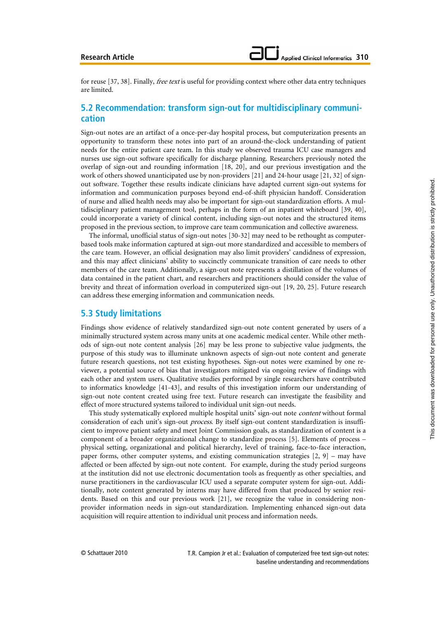for reuse [37, 38]. Finally, free text is useful for providing context where other data entry techniques are limited.

## **5.2 Recommendation: transform sign-out for multidisciplinary communication**

Sign-out notes are an artifact of a once-per-day hospital process, but computerization presents an opportunity to transform these notes into part of an around-the-clock understanding of patient needs for the entire patient care team. In this study we observed trauma ICU case managers and nurses use sign-out software specifically for discharge planning. Researchers previously noted the overlap of sign-out and rounding information [18, 20], and our previous investigation and the work of others showed unanticipated use by non-providers [21] and 24-hour usage [21, 32] of signout software. Together these results indicate clinicians have adapted current sign-out systems for information and communication purposes beyond end-of-shift physician handoff. Consideration of nurse and allied health needs may also be important for sign-out standardization efforts. A multidisciplinary patient management tool, perhaps in the form of an inpatient whiteboard [39, 40], could incorporate a variety of clinical content, including sign-out notes and the structured items proposed in the previous section, to improve care team communication and collective awareness.

The informal, unofficial status of sign-out notes [30-32] may need to be rethought as computerbased tools make information captured at sign-out more standardized and accessible to members of the care team. However, an official designation may also limit providers' candidness of expression, and this may affect clinicians' ability to succinctly communicate transition of care needs to other members of the care team. Additionally, a sign-out note represents a distillation of the volumes of data contained in the patient chart, and researchers and practitioners should consider the value of brevity and threat of information overload in computerized sign-out [19, 20, 25]. Future research can address these emerging information and communication needs.

### **5.3 Study limitations**

Findings show evidence of relatively standardized sign-out note content generated by users of a minimally structured system across many units at one academic medical center. While other methods of sign-out note content analysis [26] may be less prone to subjective value judgments, the purpose of this study was to illuminate unknown aspects of sign-out note content and generate future research questions, not test existing hypotheses. Sign-out notes were examined by one reviewer, a potential source of bias that investigators mitigated via ongoing review of findings with each other and system users. Qualitative studies performed by single researchers have contributed to informatics knowledge [41-43], and results of this investigation inform our understanding of sign-out note content created using free text. Future research can investigate the feasibility and effect of more structured systems tailored to individual unit sign-out needs.

This study systematically explored multiple hospital units' sign-out note content without formal consideration of each unit's sign-out *process*. By itself sign-out content standardization is insufficient to improve patient safety and meet Joint Commission goals, as standardization of content is a component of a broader organizational change to standardize process [5]. Elements of process – physical setting, organizational and political hierarchy, level of training, face-to-face interaction, paper forms, other computer systems, and existing communication strategies  $[2, 9]$  – may have affected or been affected by sign-out note content. For example, during the study period surgeons at the institution did not use electronic documentation tools as frequently as other specialties, and nurse practitioners in the cardiovascular ICU used a separate computer system for sign-out. Additionally, note content generated by interns may have differed from that produced by senior residents. Based on this and our previous work [21], we recognize the value in considering nonprovider information needs in sign-out standardization. Implementing enhanced sign-out data acquisition will require attention to individual unit process and information needs.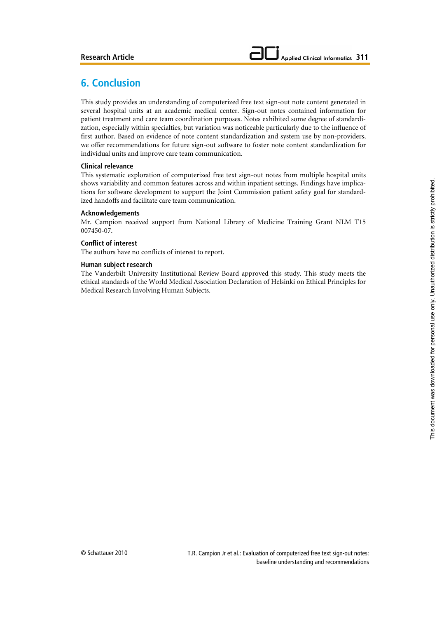## **6. Conclusion**

This study provides an understanding of computerized free text sign-out note content generated in several hospital units at an academic medical center. Sign-out notes contained information for patient treatment and care team coordination purposes. Notes exhibited some degree of standardization, especially within specialties, but variation was noticeable particularly due to the influence of first author. Based on evidence of note content standardization and system use by non-providers, we offer recommendations for future sign-out software to foster note content standardization for individual units and improve care team communication.

#### **Clinical relevance**

This systematic exploration of computerized free text sign-out notes from multiple hospital units shows variability and common features across and within inpatient settings. Findings have implications for software development to support the Joint Commission patient safety goal for standardized handoffs and facilitate care team communication.

#### **Acknowledgements**

Mr. Campion received support from National Library of Medicine Training Grant NLM T15 007450-07.

#### **Conflict of interest**

The authors have no conflicts of interest to report.

#### **Human subject research**

The Vanderbilt University Institutional Review Board approved this study. This study meets the ethical standards of the World Medical Association Declaration of Helsinki on Ethical Principles for Medical Research Involving Human Subjects.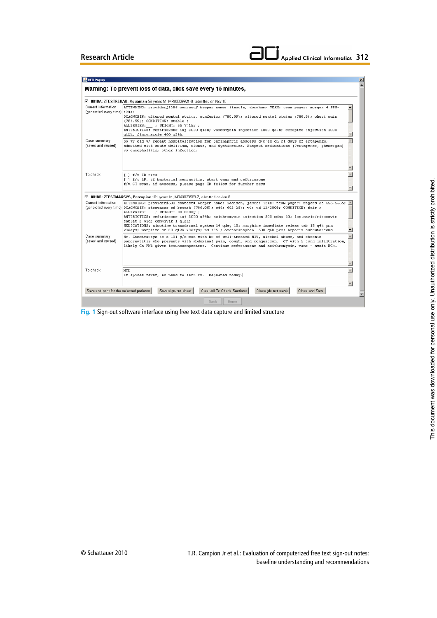

| <b>B</b> HEO Popup                                  |                                                                                                                                                                                                                                                                                                                                                                                                                                                                                                                                                                                                  |  |
|-----------------------------------------------------|--------------------------------------------------------------------------------------------------------------------------------------------------------------------------------------------------------------------------------------------------------------------------------------------------------------------------------------------------------------------------------------------------------------------------------------------------------------------------------------------------------------------------------------------------------------------------------------------------|--|
|                                                     | Warning: To prevent loss of data, click save every 15 minutes.                                                                                                                                                                                                                                                                                                                                                                                                                                                                                                                                   |  |
|                                                     | M 8018A: ZTESTREHAB, Aguaman 56 years M, MR#3029921-8, admitted on Ncv 10                                                                                                                                                                                                                                                                                                                                                                                                                                                                                                                        |  |
| Current information<br>(generated every time) 1234; | ATTENDING: provider#3386 contact# beeper name: lincoln, abraham; TEAM: team pager: morgan 4 555-<br>DIAGNCSIS: altered mental status, confusion (780.09); altered mental status (780.9); chest pain<br>(786.59); CONDITION: stable ;<br>ALLERGIES: ; WEIGHT: 55.771kg ;<br>ANTIBIOTICS: ceftriaxone inj 2000 q12h; vancomycin injection 1000 q24h; cefepime injection 1000<br>q12h; fluconazole 400 q24h;                                                                                                                                                                                        |  |
| Case summary<br>(saved and reused)                  | (56 vr old w/ recent hospitalization for perinephric abscess d/c'ed on 21 davs of ertapenem,<br>admitted with acute delirium, clonus, and dyskinesias. Suspect medications (?ertapenem, phenergan)<br>vs encephalitis, other infection.                                                                                                                                                                                                                                                                                                                                                          |  |
|                                                     |                                                                                                                                                                                                                                                                                                                                                                                                                                                                                                                                                                                                  |  |
| To check                                            | [ ] f/u ID recs<br>[ ] f/u LP, if bacterial meningitis, start vanc and ceftriaxone<br>f/u CT scan, if abscess, please page ID fellow for further recs                                                                                                                                                                                                                                                                                                                                                                                                                                            |  |
|                                                     |                                                                                                                                                                                                                                                                                                                                                                                                                                                                                                                                                                                                  |  |
|                                                     | ⊠ 8018B: ZTESTMAXSYS, Porcupine 101 years M, MR#3033589-7, admitted on Jan 8                                                                                                                                                                                                                                                                                                                                                                                                                                                                                                                     |  |
| Current information                                 | ATTENDING: provider#538 contact# beeper name: madison, james; TEAN: team pager: rogers 2a 555-5555; ^<br>(generated every time) DIAGNCSIS: shortness of breath (786.05); cd4: 602(25); vl: ud 12/2008; CONDITION: fair;<br>ALLERGIES: ; WEIGHT: 80.000kg ;<br>ANTIBIOTICS: ceftriaxone inj 2000 q24h; azithromycin injection 500 qday 10; lopinavir/ritonavir<br>tablet 2 bid; combivir 1 q12h;<br>MEDICATIONS: nicotine transdermal system 14 gday 10; morphine immediate releas tab 15 g4h prn<br>x3days; morphine sr 30 q12h x3days; ns 125 ; acetaminophen 500 q6h prn; heparin subcutaneous |  |
| Case summary<br>(saved and reused)                  | Mr. Ztestmaxsys is a 101 y/o man with hx of well-treated HIV, alcohol abuse, and chronic<br>pancreatitis who presents with abdominal pain, cough, and congestion. CT with L lung infiltration,<br>likely Ca PNA given immunocompentent. Continue ceftriaxone and azithromycin, vanc - await BCx.                                                                                                                                                                                                                                                                                                 |  |
| To check                                            | <b>NTD</b><br>If spikes fever, no need to send cx. Repeated today.                                                                                                                                                                                                                                                                                                                                                                                                                                                                                                                               |  |
| Save and print for the selected patients            | Clear All To Check Sections<br>Close and Save<br>Save sign-out sheet<br>Close (do not save)                                                                                                                                                                                                                                                                                                                                                                                                                                                                                                      |  |
|                                                     | <b>Back</b><br>Home                                                                                                                                                                                                                                                                                                                                                                                                                                                                                                                                                                              |  |

**Fig. 1** Sign-out software interface using free text data capture and limited structure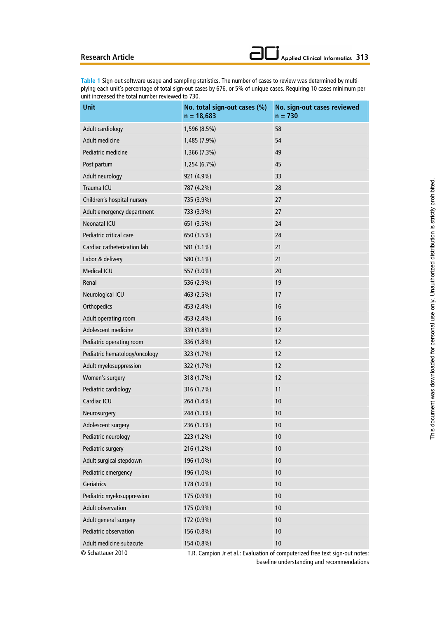**Table 1** Sign-out software usage and sampling statistics. The number of cases to review was determined by multiplying each unit's percentage of total sign-out cases by 676, or 5% of unique cases. Requiring 10 cases minimum per unit increased the total number reviewed to 730.

| <b>Unit</b>                   | No. total sign-out cases (%)<br>$n = 18,683$ | No. sign-out cases reviewed<br>$n = 730$                                    |
|-------------------------------|----------------------------------------------|-----------------------------------------------------------------------------|
| Adult cardiology              | 1,596 (8.5%)                                 | 58                                                                          |
| Adult medicine                | 1,485 (7.9%)                                 | 54                                                                          |
| Pediatric medicine            | 1,366 (7.3%)                                 | 49                                                                          |
| Post partum                   | 1,254 (6.7%)                                 | 45                                                                          |
| Adult neurology               | 921 (4.9%)                                   | 33                                                                          |
| Trauma ICU                    | 787 (4.2%)                                   | 28                                                                          |
| Children's hospital nursery   | 735 (3.9%)                                   | 27                                                                          |
| Adult emergency department    | 733 (3.9%)                                   | 27                                                                          |
| <b>Neonatal ICU</b>           | 651 (3.5%)                                   | 24                                                                          |
| Pediatric critical care       | 650 (3.5%)                                   | 24                                                                          |
| Cardiac catheterization lab   | 581 (3.1%)                                   | 21                                                                          |
| Labor & delivery              | 580 (3.1%)                                   | 21                                                                          |
| <b>Medical ICU</b>            | 557 (3.0%)                                   | 20                                                                          |
| Renal                         | 536 (2.9%)                                   | 19                                                                          |
| Neurological ICU              | 463 (2.5%)                                   | 17                                                                          |
| Orthopedics                   | 453 (2.4%)                                   | 16                                                                          |
| Adult operating room          | 453 (2.4%)                                   | 16                                                                          |
| Adolescent medicine           | 339 (1.8%)                                   | 12                                                                          |
| Pediatric operating room      | 336 (1.8%)                                   | 12                                                                          |
| Pediatric hematology/oncology | 323 (1.7%)                                   | 12                                                                          |
| Adult myelosuppression        | 322 (1.7%)                                   | 12                                                                          |
| Women's surgery               | 318 (1.7%)                                   | 12                                                                          |
| Pediatric cardiology          | 316 (1.7%)                                   | 11                                                                          |
| Cardiac ICU                   | 264 (1.4%)                                   | 10                                                                          |
| Neurosurgery                  | 244 (1.3%)                                   | 10                                                                          |
| Adolescent surgery            | 236 (1.3%)                                   | 10                                                                          |
| Pediatric neurology           | 223 (1.2%)                                   | 10                                                                          |
| Pediatric surgery             | 216 (1.2%)                                   | 10                                                                          |
| Adult surgical stepdown       | 196 (1.0%)                                   | 10                                                                          |
| Pediatric emergency           | 196 (1.0%)                                   | 10                                                                          |
| Geriatrics                    | 178 (1.0%)                                   | 10                                                                          |
| Pediatric myelosuppression    | 175 (0.9%)                                   | 10                                                                          |
| <b>Adult observation</b>      | 175 (0.9%)                                   | 10                                                                          |
| Adult general surgery         | 172 (0.9%)                                   | 10                                                                          |
| Pediatric observation         | 156 (0.8%)                                   | 10                                                                          |
| Adult medicine subacute       | 154 (0.8%)                                   | 10                                                                          |
| © Schattauer 2010             |                                              | T.R. Campion Jr et al.: Evaluation of computerized free text sign-out notes |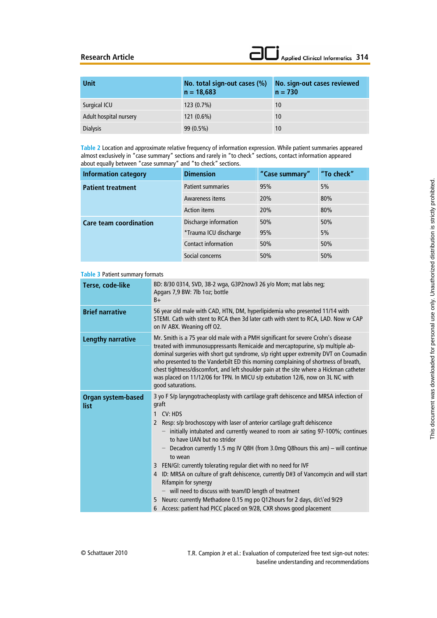| <b>Unit</b>            | No. total sign-out cases (%)<br>$n = 18,683$ | No. sign-out cases reviewed<br>$n = 730$ |
|------------------------|----------------------------------------------|------------------------------------------|
| Surgical ICU           | $123(0.7\%)$                                 | 10                                       |
| Adult hospital nursery | $121(0.6\%)$                                 | 10                                       |
| <b>Dialysis</b>        | $99(0.5\%)$                                  | 10                                       |

**Table 2** Location and approximate relative frequency of information expression. While patient summaries appeared almost exclusively in "case summary" sections and rarely in "to check" sections, contact information appeared about equally between "case summary" and "to check" sections.

| <b>Information category</b>   | <b>Dimension</b>           | "Case summary" | "To check" |
|-------------------------------|----------------------------|----------------|------------|
| <b>Patient treatment</b>      | <b>Patient summaries</b>   | 95%            | 5%         |
|                               | Awareness items            | 20%            | 80%        |
|                               | <b>Action items</b>        | 20%            | 80%        |
| <b>Care team coordination</b> | Discharge information      | 50%            | 50%        |
|                               | *Trauma ICU discharge      | 95%            | 5%         |
|                               | <b>Contact information</b> | 50%            | 50%        |
|                               | Social concerns            | 50%            | 50%        |

#### **Table 3** Patient summary formats

| Terse, code-like                  | BD: 8/30 0314, SVD, 38-2 wga, G3P2now3 26 y/o Mom; mat labs neg;<br>Apgars 7,9 BW: 7lb 1oz; bottle<br>$B+$                                                                                                                                                                                                                                                                                                                                                                                                                                                                                                                                                                                                                                                                                                               |
|-----------------------------------|--------------------------------------------------------------------------------------------------------------------------------------------------------------------------------------------------------------------------------------------------------------------------------------------------------------------------------------------------------------------------------------------------------------------------------------------------------------------------------------------------------------------------------------------------------------------------------------------------------------------------------------------------------------------------------------------------------------------------------------------------------------------------------------------------------------------------|
| <b>Brief narrative</b>            | 56 year old male with CAD, HTN, DM, hyperlipidemia who presented 11/14 with<br>STEMI. Cath with stent to RCA then 3d later cath with stent to RCA, LAD. Now w CAP<br>on IV ABX. Weaning off O2.                                                                                                                                                                                                                                                                                                                                                                                                                                                                                                                                                                                                                          |
| <b>Lengthy narrative</b>          | Mr. Smith is a 75 year old male with a PMH significant for severe Crohn's disease<br>treated with immunosuppressants Remicaide and mercaptopurine, s/p multiple ab-<br>dominal surgeries with short gut syndrome, s/p right upper extremity DVT on Coumadin<br>who presented to the Vanderbilt ED this morning complaining of shortness of breath,<br>chest tightness/discomfort, and left shoulder pain at the site where a Hickman catheter<br>was placed on 11/12/06 for TPN. In MICU s/p extubation 12/6, now on 3L NC with<br>good saturations.                                                                                                                                                                                                                                                                     |
| <b>Organ system-based</b><br>list | 3 yo F S/p laryngotracheoplasty with cartilage graft dehiscence and MRSA infection of<br>graft<br>CV: HDS<br>1<br>Resp: s/p brochoscopy with laser of anterior cartilage graft dehiscence<br>2<br>- initially intubated and currently weaned to room air sating 97-100%; continues<br>to have UAN but no stridor<br>- Decadron currently 1.5 mg IV Q8H (from 3.0mg Q8 hours this am) - will continue<br>to wean<br>3 FEN/GI: currently tolerating regular diet with no need for IVF<br>4 ID: MRSA on culture of graft dehiscence, currently D#3 of Vancomycin and will start<br>Rifampin for synergy<br>$-$ will need to discuss with team/ID length of treatment<br>Neuro: currently Methadone 0.15 mg po Q12hours for 2 days, d/c\'ed 9/29<br>5<br>6 Access: patient had PICC placed on 9/28, CXR shows good placement |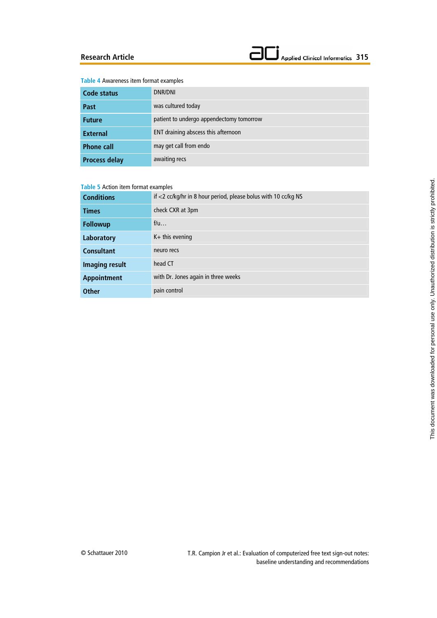#### Applied Clinical Informatics 315  $\blacksquare$

#### **Table 4** Awareness item format examples

| Code status          | DNR/DNI                                  |
|----------------------|------------------------------------------|
| Past                 | was cultured today                       |
| <b>Future</b>        | patient to undergo appendectomy tomorrow |
| <b>External</b>      | ENT draining abscess this afternoon      |
| <b>Phone call</b>    | may get call from endo                   |
| <b>Process delay</b> | awaiting recs                            |

#### **Table 5** Action item format examples

| <b>Conditions</b>  | if <2 cc/kg/hr in 8 hour period, please bolus with 10 cc/kg NS |
|--------------------|----------------------------------------------------------------|
| <b>Times</b>       | check CXR at 3pm                                               |
| <b>Followup</b>    | f/u                                                            |
| Laboratory         | $K+$ this evening                                              |
| <b>Consultant</b>  | neuro recs                                                     |
| Imaging result     | head CT                                                        |
| <b>Appointment</b> | with Dr. Jones again in three weeks                            |
| <b>Other</b>       | pain control                                                   |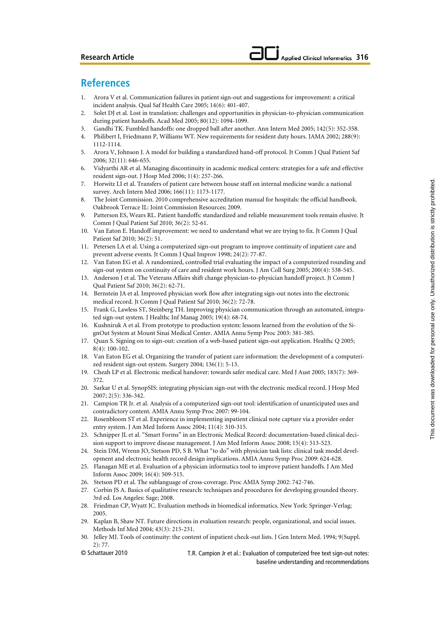## **References**

- 1. Arora V et al. Communication failures in patient sign-out and suggestions for improvement: a critical incident analysis. Qual Saf Health Care 2005; 14(6): 401-407.
- 2. Solet DJ et al. Lost in translation: challenges and opportunities in physician-to-physician communication during patient handoffs. Acad Med 2005; 80(12): 1094-1099.
- 3. Gandhi TK. Fumbled handoffs: one dropped ball after another. Ann Intern Med 2005; 142(5): 352-358.
- 4. Philibert I, Friedmann P, Williams WT. New requirements for resident duty hours. JAMA 2002; 288(9): 1112-1114.
- 5. Arora V, Johnson J. A model for building a standardized hand-off protocol. Jt Comm J Qual Patient Saf 2006; 32(11): 646-655.
- 6. Vidyarthi AR et al. Managing discontinuity in academic medical centers: strategies for a safe and effective resident sign-out. J Hosp Med 2006; 1(4): 257-266.
- 7. Horwitz LI et al. Transfers of patient care between house staff on internal medicine wards: a national survey. Arch Intern Med 2006; 166(11): 1173-1177.
- 8. The Joint Commission. 2010 comprehensive accreditation manual for hospitals: the official handbook. Oakbrook Terrace IL: Joint Commission Resources; 2009.
- 9. Patterson ES, Wears RL. Patient handoffs: standardized and reliable measurement tools remain elusive. Jt Comm J Qual Patient Saf 2010; 36(2): 52-61.
- 10. Van Eaton E. Handoff improvement: we need to understand what we are trying to fix. Jt Comm J Qual Patient Saf 2010; 36(2): 51.
- 11. Petersen LA et al. Using a computerized sign-out program to improve continuity of inpatient care and prevent adverse events. Jt Comm J Qual Improv 1998; 24(2): 77-87.
- 12. Van Eaton EG et al. A randomized, controlled trial evaluating the impact of a computerized rounding and sign-out system on continuity of care and resident work hours. J Am Coll Surg 2005; 200(4): 538-545.
- 13. Anderson J et al. The Veterans Affairs shift change physician-to-physician handoff project. Jt Comm J Qual Patient Saf 2010; 36(2): 62-71.
- 14. Bernstein JA et al. Improved physician work flow after integrating sign-out notes into the electronic medical record. Jt Comm J Qual Patient Saf 2010; 36(2): 72-78.
- 15. Frank G, Lawless ST, Steinberg TH. Improving physician communication through an automated, integrated sign-out system. J Healthc Inf Manag 2005; 19(4): 68-74.
- 16. Kushniruk A et al. From prototype to production system: lessons learned from the evolution of the SignOut System at Mount Sinai Medical Center. AMIA Annu Symp Proc 2003: 381-385.
- 17. Quan S. Signing on to sign-out: creation of a web-based patient sign-out application. Healthc Q 2005; 8(4): 100-102.
- 18. Van Eaton EG et al. Organizing the transfer of patient care information: the development of a computerized resident sign-out system. Surgery 2004; 136(1): 5-13.
- 19. Cheah LP et al. Electronic medical handover: towards safer medical care. Med J Aust 2005; 183(7): 369- 372.
- 20. Sarkar U et al. SynopSIS: integrating physician sign-out with the electronic medical record. J Hosp Med 2007; 2(5): 336-342.
- 21. Campion TR Jr. et al. Analysis of a computerized sign-out tool: identification of unanticipated uses and contradictory content. AMIA Annu Symp Proc 2007: 99-104.
- 22. Rosenbloom ST et al. Experience in implementing inpatient clinical note capture via a provider order entry system. J Am Med Inform Assoc 2004; 11(4): 310-315.
- 23. Schnipper JL et al. "Smart Forms" in an Electronic Medical Record: documentation-based clinical decision support to improve disease management. J Am Med Inform Assoc 2008; 15(4): 513-523.
- 24. Stein DM, Wrenn JO, Stetson PD, S B. What "to do" with physician task lists: clinical task model development and electronic health record design implications. AMIA Annu Symp Proc 2009: 624-628.
- 25. Flanagan ME et al. Evaluation of a physician informatics tool to improve patient handoffs. J Am Med Inform Assoc 2009; 16(4): 509-515.
- 26. Stetson PD et al. The sublanguage of cross-coverage. Proc AMIA Symp 2002: 742-746.
- 27. Corbin JS A. Basics of qualitative research: techniques and procedures for developing grounded theory. 3rd ed. Los Angeles: Sage; 2008.
- 28. Friedman CP, Wyatt JC. Evaluation methods in biomedical informatics. New York: Springer-Verlag; 2005.
- 29. Kaplan B, Shaw NT. Future directions in evaluation research: people, organizational, and social issues. Methods Inf Med 2004; 43(3): 215-231.
- 30. Jelley MJ. Tools of continuity: the content of inpatient check-out lists. J Gen Intern Med. 1994; 9(Suppl. 2): 77.
- © Schattauer 2010